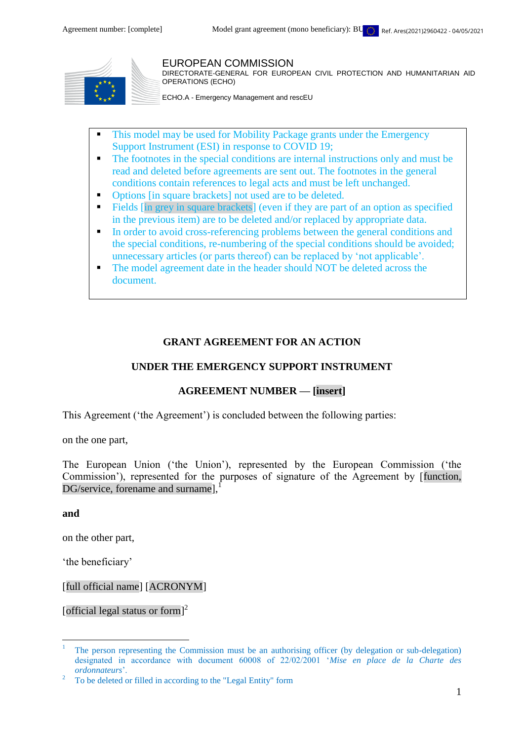

#### EUROPEAN COMMISSION

DIRECTORATE-GENERAL FOR EUROPEAN CIVIL PROTECTION AND HUMANITARIAN AID OPERATIONS (ECHO)

ECHO.A - Emergency Management and rescEU

- This model may be used for Mobility Package grants under the Emergency Support Instrument (ESI) in response to COVID 19;
- The footnotes in the special conditions are internal instructions only and must be read and deleted before agreements are sent out. The footnotes in the general conditions contain references to legal acts and must be left unchanged.
- Options [in square brackets] not used are to be deleted.
- Fields [in grey in square brackets] (even if they are part of an option as specified in the previous item) are to be deleted and/or replaced by appropriate data.
- In order to avoid cross-referencing problems between the general conditions and the special conditions, re-numbering of the special conditions should be avoided; unnecessary articles (or parts thereof) can be replaced by 'not applicable'.
- The model agreement date in the header should NOT be deleted across the document.

#### **GRANT AGREEMENT FOR AN ACTION**

### **UNDER THE EMERGENCY SUPPORT INSTRUMENT**

### **AGREEMENT NUMBER — [insert]**

This Agreement ('the Agreement') is concluded between the following parties:

on the one part,

The European Union ('the Union'), represented by the European Commission ('the Commission'), represented for the purposes of signature of the Agreement by [function, DG/service, forename and surname],

**and**

 $\overline{a}$ 

on the other part,

'the beneficiary'

[full official name] [ACRONYM]

[official legal status or form]<sup>2</sup>

<sup>1</sup> The person representing the Commission must be an authorising officer (by delegation or sub-delegation) designated in accordance with document 60008 of 22/02/2001 '*Mise en place de la Charte des ordonnateurs*'.

<sup>2</sup> To be deleted or filled in according to the "Legal Entity" form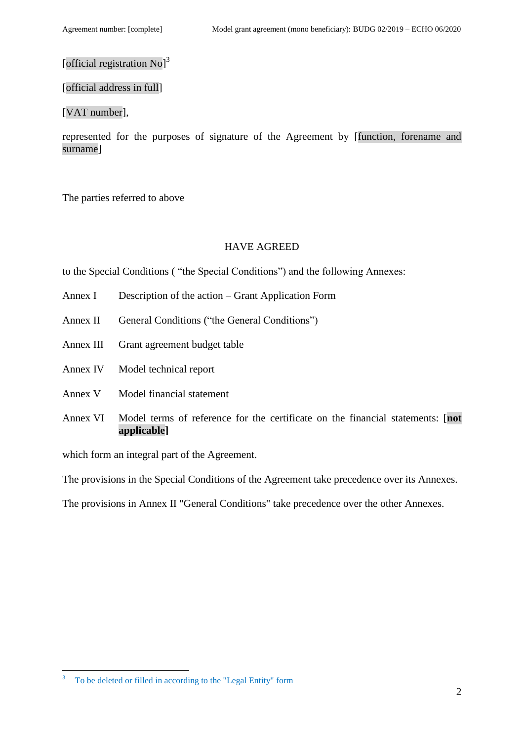# [official registration No]<sup>3</sup>

#### [official address in full]

#### [VAT number],

represented for the purposes of signature of the Agreement by [function, forename and surname]

The parties referred to above

#### HAVE AGREED

to the Special Conditions ( "the Special Conditions") and the following Annexes:

- Annex I Description of the action Grant Application Form
- Annex II General Conditions ("the General Conditions")
- Annex III Grant agreement budget table
- Annex IV Model technical report
- Annex V Model financial statement
- Annex VI Model terms of reference for the certificate on the financial statements: [**not applicable]**

which form an integral part of the Agreement.

The provisions in the Special Conditions of the Agreement take precedence over its Annexes.

The provisions in Annex II "General Conditions" take precedence over the other Annexes.

 $\overline{a}$ 

<sup>3</sup> To be deleted or filled in according to the "Legal Entity" form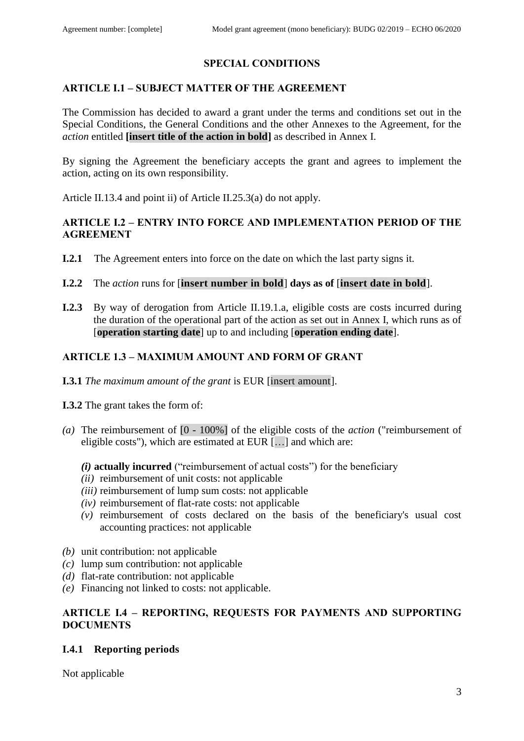# **SPECIAL CONDITIONS**

#### **ARTICLE I.1 – SUBJECT MATTER OF THE AGREEMENT**

The Commission has decided to award a grant under the terms and conditions set out in the Special Conditions, the General Conditions and the other Annexes to the Agreement, for the *action* entitled **[insert title of the action in bold]** as described in Annex I.

By signing the Agreement the beneficiary accepts the grant and agrees to implement the action, acting on its own responsibility.

Article II.13.4 and point ii) of Article II.25.3(a) do not apply.

## **ARTICLE I.2 – ENTRY INTO FORCE AND IMPLEMENTATION PERIOD OF THE AGREEMENT**

- **I.2.1** The Agreement enters into force on the date on which the last party signs it.
- **I.2.2** The *action* runs for [**insert number in bold**] **days as of** [**insert date in bold**].
- **I.2.3** By way of derogation from Article II.19.1.a, eligible costs are costs incurred during the duration of the operational part of the action as set out in Annex I, which runs as of [**operation starting date**] up to and including [**operation ending date**].

### **ARTICLE 1.3 – MAXIMUM AMOUNT AND FORM OF GRANT**

- **I.3.1** *The maximum amount of the grant* is EUR [insert amount].
- **I.3.2** The grant takes the form of:
- *(a)* The reimbursement of [0 100%] of the eligible costs of the *action* ("reimbursement of eligible costs"), which are estimated at EUR […] and which are:

#### *(i)* **actually incurred** ("reimbursement of actual costs") for the beneficiary

- *(ii)* reimbursement of unit costs: not applicable
- *(iii)* reimbursement of lump sum costs: not applicable
- *(iv)* reimbursement of flat-rate costs: not applicable
- *(v)* reimbursement of costs declared on the basis of the beneficiary's usual cost accounting practices: not applicable
- *(b)* unit contribution: not applicable
- *(c)* lump sum contribution: not applicable
- *(d)* flat-rate contribution: not applicable
- *(e)* Financing not linked to costs: not applicable.

### **ARTICLE I.4 – REPORTING, REQUESTS FOR PAYMENTS AND SUPPORTING DOCUMENTS**

#### **I.4.1 Reporting periods**

Not applicable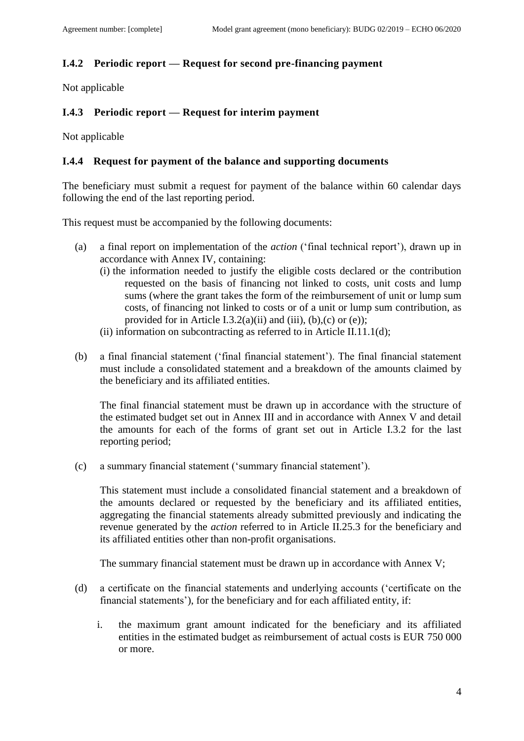# **I.4.2 Periodic report — Request for second pre-financing payment**

Not applicable

## **I.4.3 Periodic report — Request for interim payment**

Not applicable

## **I.4.4 Request for payment of the balance and supporting documents**

The beneficiary must submit a request for payment of the balance within 60 calendar days following the end of the last reporting period.

This request must be accompanied by the following documents:

- (a) a final report on implementation of the *action* ('final technical report'), drawn up in accordance with Annex IV, containing:
	- (i) the information needed to justify the eligible costs declared or the contribution requested on the basis of financing not linked to costs, unit costs and lump sums (where the grant takes the form of the reimbursement of unit or lump sum costs, of financing not linked to costs or of a unit or lump sum contribution, as provided for in Article I.3.2(a)(ii) and (iii), (b), (c) or (e));
	- (ii) information on subcontracting as referred to in Article II.11.1(d);
- (b) a final financial statement ('final financial statement'). The final financial statement must include a consolidated statement and a breakdown of the amounts claimed by the beneficiary and its affiliated entities.

The final financial statement must be drawn up in accordance with the structure of the estimated budget set out in Annex III and in accordance with Annex V and detail the amounts for each of the forms of grant set out in Article I.3.2 for the last reporting period;

(c) a summary financial statement ('summary financial statement').

This statement must include a consolidated financial statement and a breakdown of the amounts declared or requested by the beneficiary and its affiliated entities, aggregating the financial statements already submitted previously and indicating the revenue generated by the *action* referred to in Article II.25.3 for the beneficiary and its affiliated entities other than non-profit organisations.

The summary financial statement must be drawn up in accordance with Annex V;

- (d) a certificate on the financial statements and underlying accounts ('certificate on the financial statements'), for the beneficiary and for each affiliated entity, if:
	- i. the maximum grant amount indicated for the beneficiary and its affiliated entities in the estimated budget as reimbursement of actual costs is EUR 750 000 or more.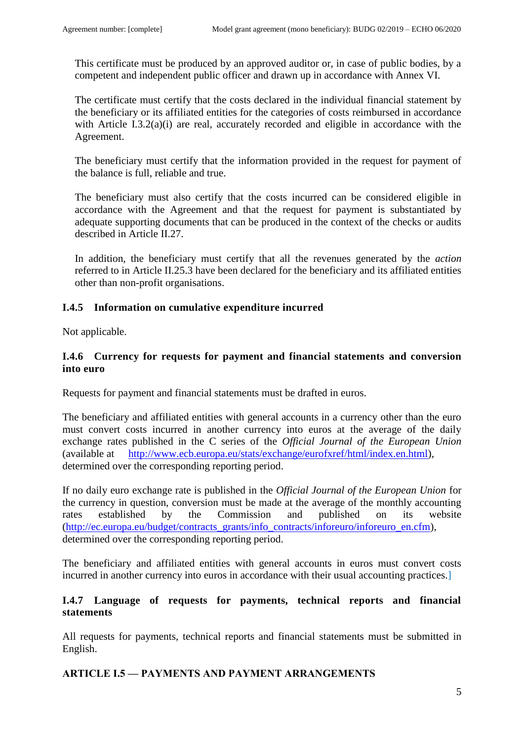This certificate must be produced by an approved auditor or, in case of public bodies, by a competent and independent public officer and drawn up in accordance with Annex VI.

The certificate must certify that the costs declared in the individual financial statement by the beneficiary or its affiliated entities for the categories of costs reimbursed in accordance with Article I.3.2(a)(i) are real, accurately recorded and eligible in accordance with the Agreement.

The beneficiary must certify that the information provided in the request for payment of the balance is full, reliable and true.

The beneficiary must also certify that the costs incurred can be considered eligible in accordance with the Agreement and that the request for payment is substantiated by adequate supporting documents that can be produced in the context of the checks or audits described in Article II.27.

In addition, the beneficiary must certify that all the revenues generated by the *action* referred to in Article II.25.3 have been declared for the beneficiary and its affiliated entities other than non-profit organisations.

### **I.4.5 Information on cumulative expenditure incurred**

Not applicable.

## **I.4.6 Currency for requests for payment and financial statements and conversion into euro**

Requests for payment and financial statements must be drafted in euros.

The beneficiary and affiliated entities with general accounts in a currency other than the euro must convert costs incurred in another currency into euros at the average of the daily exchange rates published in the C series of the *Official Journal of the European Union* (available at [http://www.ecb.europa.eu/stats/exchange/eurofxref/html/index.en.html\)](http://www.ecb.europa.eu/stats/exchange/eurofxref/html/index.en.html), determined over the corresponding reporting period.

If no daily euro exchange rate is published in the *Official Journal of the European Union* for the currency in question, conversion must be made at the average of the monthly accounting rates established by the Commission and published on its website [\(http://ec.europa.eu/budget/contracts\\_grants/info\\_contracts/inforeuro/inforeuro\\_en.cfm\)](http://ec.europa.eu/budget/contracts_grants/info_contracts/inforeuro/inforeuro_en.cfm), determined over the corresponding reporting period.

The beneficiary and affiliated entities with general accounts in euros must convert costs incurred in another currency into euros in accordance with their usual accounting practices.]

### **I.4.7 Language of requests for payments, technical reports and financial statements**

All requests for payments, technical reports and financial statements must be submitted in English.

### **ARTICLE I.5 — PAYMENTS AND PAYMENT ARRANGEMENTS**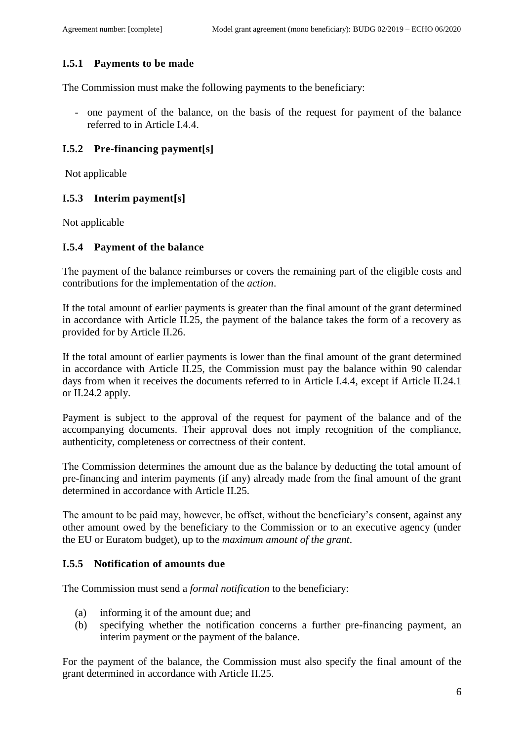# **I.5.1 Payments to be made**

The Commission must make the following payments to the beneficiary:

- one payment of the balance, on the basis of the request for payment of the balance referred to in Article I.4.4.

## **I.5.2 Pre-financing payment[s]**

Not applicable

### **I.5.3 Interim payment[s]**

Not applicable

### **I.5.4 Payment of the balance**

The payment of the balance reimburses or covers the remaining part of the eligible costs and contributions for the implementation of the *action*.

If the total amount of earlier payments is greater than the final amount of the grant determined in accordance with Article II.25, the payment of the balance takes the form of a recovery as provided for by Article II.26.

If the total amount of earlier payments is lower than the final amount of the grant determined in accordance with Article II.25, the Commission must pay the balance within 90 calendar days from when it receives the documents referred to in Article I.4.4, except if Article II.24.1 or II.24.2 apply.

Payment is subject to the approval of the request for payment of the balance and of the accompanying documents. Their approval does not imply recognition of the compliance, authenticity, completeness or correctness of their content.

The Commission determines the amount due as the balance by deducting the total amount of pre-financing and interim payments (if any) already made from the final amount of the grant determined in accordance with Article II.25.

The amount to be paid may, however, be offset, without the beneficiary's consent, against any other amount owed by the beneficiary to the Commission or to an executive agency (under the EU or Euratom budget), up to the *maximum amount of the grant*.

### **I.5.5 Notification of amounts due**

The Commission must send a *formal notification* to the beneficiary:

- (a) informing it of the amount due; and
- (b) specifying whether the notification concerns a further pre-financing payment, an interim payment or the payment of the balance.

For the payment of the balance, the Commission must also specify the final amount of the grant determined in accordance with Article II.25.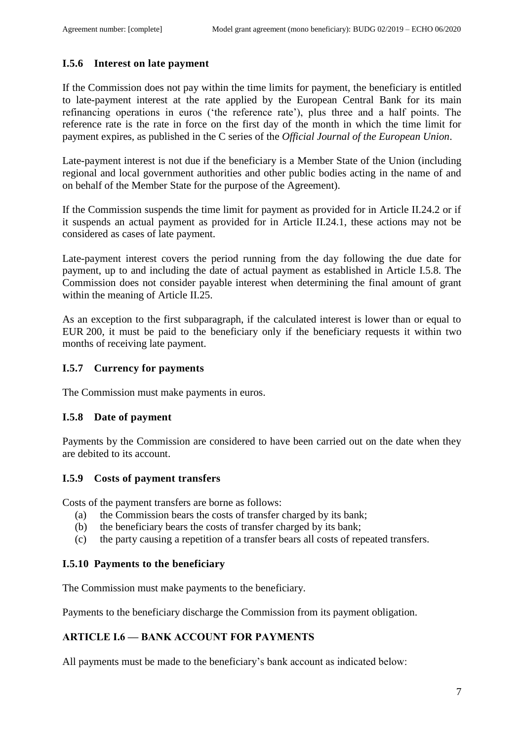# **I.5.6 Interest on late payment**

If the Commission does not pay within the time limits for payment, the beneficiary is entitled to late-payment interest at the rate applied by the European Central Bank for its main refinancing operations in euros ('the reference rate'), plus three and a half points. The reference rate is the rate in force on the first day of the month in which the time limit for payment expires, as published in the C series of the *Official Journal of the European Union*.

Late-payment interest is not due if the beneficiary is a Member State of the Union (including regional and local government authorities and other public bodies acting in the name of and on behalf of the Member State for the purpose of the Agreement).

If the Commission suspends the time limit for payment as provided for in Article II.24.2 or if it suspends an actual payment as provided for in Article II.24.1, these actions may not be considered as cases of late payment.

Late-payment interest covers the period running from the day following the due date for payment, up to and including the date of actual payment as established in Article I.5.8. The Commission does not consider payable interest when determining the final amount of grant within the meaning of Article II.25.

As an exception to the first subparagraph, if the calculated interest is lower than or equal to EUR 200, it must be paid to the beneficiary only if the beneficiary requests it within two months of receiving late payment.

### **I.5.7 Currency for payments**

The Commission must make payments in euros.

#### **I.5.8 Date of payment**

Payments by the Commission are considered to have been carried out on the date when they are debited to its account.

#### **I.5.9 Costs of payment transfers**

Costs of the payment transfers are borne as follows:

- (a) the Commission bears the costs of transfer charged by its bank;
- (b) the beneficiary bears the costs of transfer charged by its bank;
- (c) the party causing a repetition of a transfer bears all costs of repeated transfers.

#### **I.5.10 Payments to the beneficiary**

The Commission must make payments to the beneficiary.

Payments to the beneficiary discharge the Commission from its payment obligation.

### **ARTICLE I.6 — BANK ACCOUNT FOR PAYMENTS**

All payments must be made to the beneficiary's bank account as indicated below: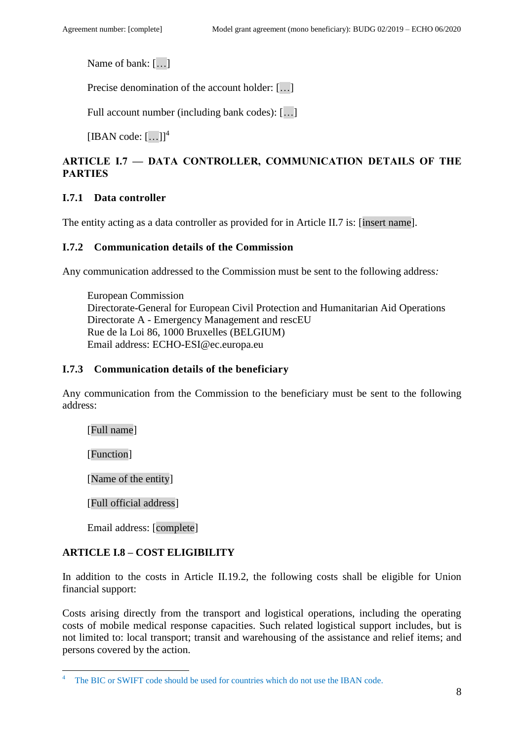Name of bank: […]

Precise denomination of the account holder: [...]

Full account number (including bank codes): […]

 $[IBAN code: [...]<sup>4</sup>]$ 

# **ARTICLE I.7 — DATA CONTROLLER, COMMUNICATION DETAILS OF THE PARTIES**

# **I.7.1 Data controller**

The entity acting as a data controller as provided for in Article II.7 is: [insert name].

### **I.7.2 Communication details of the Commission**

Any communication addressed to the Commission must be sent to the following address*:*

European Commission Directorate-General for European Civil Protection and Humanitarian Aid Operations Directorate A - Emergency Management and rescEU Rue de la Loi 86, 1000 Bruxelles (BELGIUM) Email address: ECHO-ESI@ec.europa.eu

#### **I.7.3 Communication details of the beneficiary**

Any communication from the Commission to the beneficiary must be sent to the following address:

[Full name]

[Function]

 $\overline{a}$ 

[Name of the entity]

[Full official address]

Email address: [complete]

### **ARTICLE I.8 – COST ELIGIBILITY**

In addition to the costs in Article II.19.2, the following costs shall be eligible for Union financial support:

Costs arising directly from the transport and logistical operations, including the operating costs of mobile medical response capacities. Such related logistical support includes, but is not limited to: local transport; transit and warehousing of the assistance and relief items; and persons covered by the action.

The BIC or SWIFT code should be used for countries which do not use the IBAN code.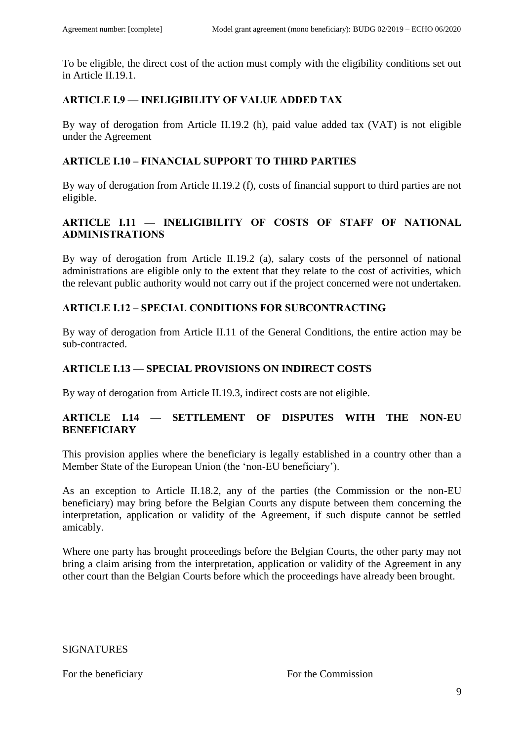To be eligible, the direct cost of the action must comply with the eligibility conditions set out in Article II.19.1.

## **ARTICLE I.9 — INELIGIBILITY OF VALUE ADDED TAX**

By way of derogation from Article II.19.2 (h), paid value added tax (VAT) is not eligible under the Agreement

# **ARTICLE I.10 – FINANCIAL SUPPORT TO THIRD PARTIES**

By way of derogation from Article II.19.2 (f), costs of financial support to third parties are not eligible.

# **ARTICLE I.11 — INELIGIBILITY OF COSTS OF STAFF OF NATIONAL ADMINISTRATIONS**

By way of derogation from Article II.19.2 (a), salary costs of the personnel of national administrations are eligible only to the extent that they relate to the cost of activities, which the relevant public authority would not carry out if the project concerned were not undertaken.

# **ARTICLE I.12 – SPECIAL CONDITIONS FOR SUBCONTRACTING**

By way of derogation from Article II.11 of the General Conditions, the entire action may be sub-contracted.

# **ARTICLE I.13 — SPECIAL PROVISIONS ON INDIRECT COSTS**

By way of derogation from Article II.19.3, indirect costs are not eligible.

### **ARTICLE I.14 — SETTLEMENT OF DISPUTES WITH THE NON-EU BENEFICIARY**

This provision applies where the beneficiary is legally established in a country other than a Member State of the European Union (the 'non-EU beneficiary').

As an exception to Article II.18.2, any of the parties (the Commission or the non-EU beneficiary) may bring before the Belgian Courts any dispute between them concerning the interpretation, application or validity of the Agreement, if such dispute cannot be settled amicably.

Where one party has brought proceedings before the Belgian Courts, the other party may not bring a claim arising from the interpretation, application or validity of the Agreement in any other court than the Belgian Courts before which the proceedings have already been brought.

SIGNATURES